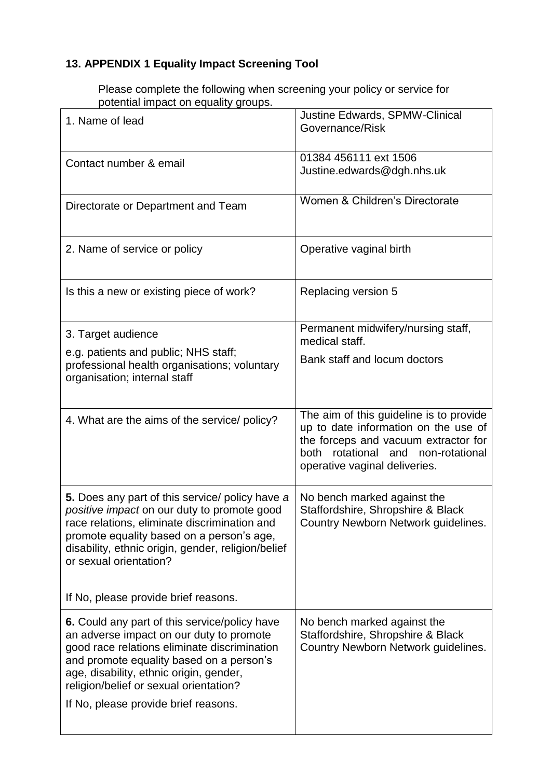## **13. APPENDIX 1 Equality Impact Screening Tool**

Please complete the following when screening your policy or service for potential impact on equality groups.

| 1. Name of lead                                                                                                                                                                                                                                                                                                    | Justine Edwards, SPMW-Clinical<br>Governance/Risk                                                                                                                                              |
|--------------------------------------------------------------------------------------------------------------------------------------------------------------------------------------------------------------------------------------------------------------------------------------------------------------------|------------------------------------------------------------------------------------------------------------------------------------------------------------------------------------------------|
| Contact number & email                                                                                                                                                                                                                                                                                             | 01384 456111 ext 1506<br>Justine.edwards@dgh.nhs.uk                                                                                                                                            |
| Directorate or Department and Team                                                                                                                                                                                                                                                                                 | Women & Children's Directorate                                                                                                                                                                 |
| 2. Name of service or policy                                                                                                                                                                                                                                                                                       | Operative vaginal birth                                                                                                                                                                        |
| Is this a new or existing piece of work?                                                                                                                                                                                                                                                                           | Replacing version 5                                                                                                                                                                            |
| 3. Target audience                                                                                                                                                                                                                                                                                                 | Permanent midwifery/nursing staff,<br>medical staff.                                                                                                                                           |
| e.g. patients and public; NHS staff;<br>professional health organisations; voluntary<br>organisation; internal staff                                                                                                                                                                                               | Bank staff and locum doctors                                                                                                                                                                   |
| 4. What are the aims of the service/ policy?                                                                                                                                                                                                                                                                       | The aim of this guideline is to provide<br>up to date information on the use of<br>the forceps and vacuum extractor for<br>both rotational and non-rotational<br>operative vaginal deliveries. |
| 5. Does any part of this service/ policy have a<br>positive impact on our duty to promote good<br>race relations, eliminate discrimination and<br>promote equality based on a person's age,<br>disability, ethnic origin, gender, religion/belief<br>or sexual orientation?                                        | No bench marked against the<br>Staffordshire, Shropshire & Black<br>Country Newborn Network guidelines.                                                                                        |
| If No, please provide brief reasons.                                                                                                                                                                                                                                                                               |                                                                                                                                                                                                |
| 6. Could any part of this service/policy have<br>an adverse impact on our duty to promote<br>good race relations eliminate discrimination<br>and promote equality based on a person's<br>age, disability, ethnic origin, gender,<br>religion/belief or sexual orientation?<br>If No, please provide brief reasons. | No bench marked against the<br>Staffordshire, Shropshire & Black<br>Country Newborn Network guidelines.                                                                                        |